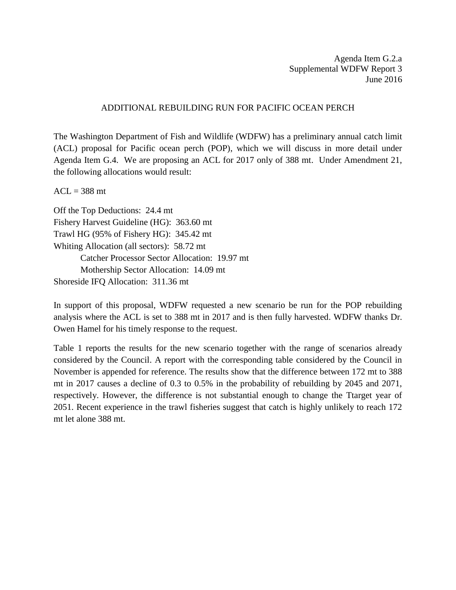Agenda Item G.2.a Supplemental WDFW Report 3 June 2016

## ADDITIONAL REBUILDING RUN FOR PACIFIC OCEAN PERCH

The Washington Department of Fish and Wildlife (WDFW) has a preliminary annual catch limit (ACL) proposal for Pacific ocean perch (POP), which we will discuss in more detail under Agenda Item G.4. We are proposing an ACL for 2017 only of 388 mt. Under Amendment 21, the following allocations would result:

 $ACL = 388$  mt

Off the Top Deductions: 24.4 mt Fishery Harvest Guideline (HG): 363.60 mt Trawl HG (95% of Fishery HG): 345.42 mt Whiting Allocation (all sectors): 58.72 mt Catcher Processor Sector Allocation: 19.97 mt Mothership Sector Allocation: 14.09 mt Shoreside IFQ Allocation: 311.36 mt

In support of this proposal, WDFW requested a new scenario be run for the POP rebuilding analysis where the ACL is set to 388 mt in 2017 and is then fully harvested. WDFW thanks Dr. Owen Hamel for his timely response to the request.

Table 1 reports the results for the new scenario together with the range of scenarios already considered by the Council. A report with the corresponding table considered by the Council in November is appended for reference. The results show that the difference between 172 mt to 388 mt in 2017 causes a decline of 0.3 to 0.5% in the probability of rebuilding by 2045 and 2071, respectively. However, the difference is not substantial enough to change the Ttarget year of 2051. Recent experience in the trawl fisheries suggest that catch is highly unlikely to reach 172 mt let alone 388 mt.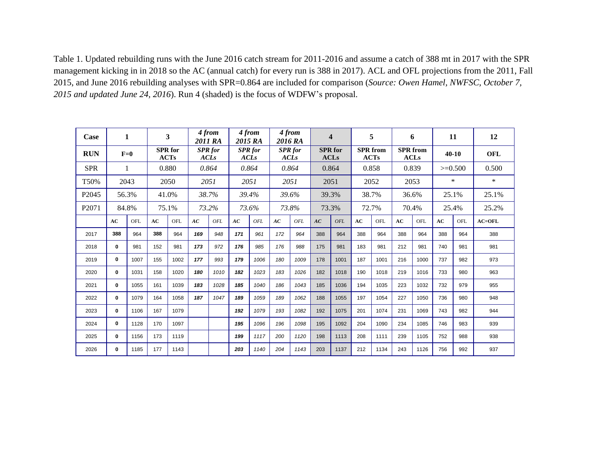Table 1. Updated rebuilding runs with the June 2016 catch stream for 2011-2016 and assume a catch of 388 mt in 2017 with the SPR management kicking in in 2018 so the AC (annual catch) for every run is 388 in 2017). ACL and OFL projections from the 2011, Fall 2015, and June 2016 rebuilding analyses with SPR=0.864 are included for comparison (*Source: Owen Hamel, NWFSC, October 7, 2015 and updated June 24, 2016*). Run 4 (shaded) is the focus of WDFW's proposal.

| Case              | 1            |      | 3                      |      | 4 from<br>2011 RA             |      | 4 from<br>2015 RA             |      | 4 from<br>2016 RA             |      | $\overline{\mathbf{4}}$       |      | 5                       |      | 6                              |      | 11        |     | 12         |
|-------------------|--------------|------|------------------------|------|-------------------------------|------|-------------------------------|------|-------------------------------|------|-------------------------------|------|-------------------------|------|--------------------------------|------|-----------|-----|------------|
| <b>RUN</b>        | $F=0$        |      | <b>SPR</b> for<br>ACTs |      | <b>SPR</b> for<br><b>ACLs</b> |      | <b>SPR</b> for<br><b>ACLs</b> |      | <b>SPR</b> for<br><b>ACLs</b> |      | <b>SPR</b> for<br><b>ACLs</b> |      | <b>SPR</b> from<br>ACTs |      | <b>SPR</b> from<br><b>ACLs</b> |      | $40-10$   |     | <b>OFL</b> |
| <b>SPR</b>        | 1            |      | 0.880                  |      | 0.864                         |      | 0.864                         |      | 0.864                         |      | 0.864                         |      | 0.858                   |      | 0.839                          |      | $>=0.500$ |     | 0.500      |
| T50%              | 2043         |      | 2050                   |      | 2051                          |      | 2051                          |      | 2051                          |      | 2051                          |      | 2052                    |      | 2053                           |      | $\ast$    |     | $\ast$     |
| P <sub>2045</sub> | 56.3%        |      | 41.0%                  |      | 38.7%                         |      | 39.4%                         |      | 39.6%                         |      | 39.3%                         |      | 38.7%                   |      | 36.6%                          |      | 25.1%     |     | 25.1%      |
| P <sub>2071</sub> | 84.8%        |      | 75.1%                  |      | 73.2%                         |      | 73.6%                         |      | 73.8%                         |      | 73.3%                         |      | 72.7%                   |      | 70.4%                          |      | 25.4%     |     | 25.2%      |
|                   | AC           | OFL  | AC                     | OFL. | AC                            | OFL  | AC                            | OFL  | AC                            | OFL  | AC                            | OFL  | AC                      | OFL  | AC                             | OFL  | AC        | OFL | $AC=OFL$   |
| 2017              | 388          | 964  | 388                    | 964  | 169                           | 948  | 171                           | 961  | 172                           | 964  | 388                           | 964  | 388                     | 964  | 388                            | 964  | 388       | 964 | 388        |
| 2018              | 0            | 981  | 152                    | 981  | 173                           | 972  | 176                           | 985  | 176                           | 988  | 175                           | 981  | 183                     | 981  | 212                            | 981  | 740       | 981 | 981        |
| 2019              | $\mathbf{0}$ | 1007 | 155                    | 1002 | 177                           | 993  | 179                           | 1006 | 180                           | 1009 | 178                           | 1001 | 187                     | 1001 | 216                            | 1000 | 737       | 982 | 973        |
| 2020              | 0            | 1031 | 158                    | 1020 | 180                           | 1010 | 182                           | 1023 | 183                           | 1026 | 182                           | 1018 | 190                     | 1018 | 219                            | 1016 | 733       | 980 | 963        |
| 2021              | 0            | 1055 | 161                    | 1039 | 183                           | 1028 | 185                           | 1040 | 186                           | 1043 | 185                           | 1036 | 194                     | 1035 | 223                            | 1032 | 732       | 979 | 955        |
| 2022              | $\mathbf{0}$ | 1079 | 164                    | 1058 | 187                           | 1047 | 189                           | 1059 | 189                           | 1062 | 188                           | 1055 | 197                     | 1054 | 227                            | 1050 | 736       | 980 | 948        |
| 2023              | $\bf{0}$     | 1106 | 167                    | 1079 |                               |      | 192                           | 1079 | 193                           | 1082 | 192                           | 1075 | 201                     | 1074 | 231                            | 1069 | 743       | 982 | 944        |
| 2024              | $\bf{0}$     | 1128 | 170                    | 1097 |                               |      | 195                           | 1096 | 196                           | 1098 | 195                           | 1092 | 204                     | 1090 | 234                            | 1085 | 746       | 983 | 939        |
| 2025              | 0            | 1156 | 173                    | 1119 |                               |      | 199                           | 1117 | 200                           | 1120 | 198                           | 1113 | 208                     | 1111 | 239                            | 1105 | 752       | 988 | 938        |
| 2026              | $\mathbf{0}$ | 1185 | 177                    | 1143 |                               |      | 203                           | 1140 | 204                           | 1143 | 203                           | 1137 | 212                     | 1134 | 243                            | 1126 | 756       | 992 | 937        |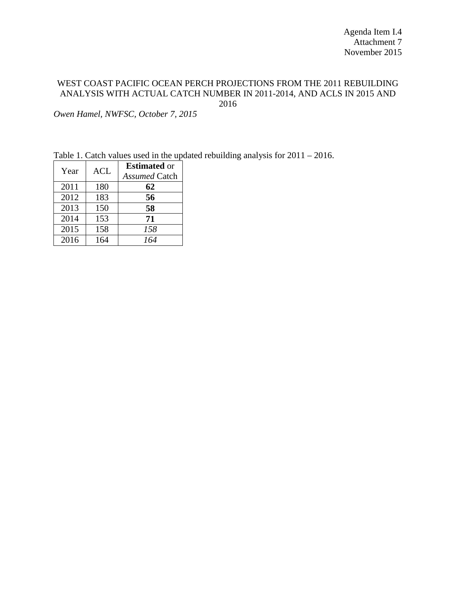## WEST COAST PACIFIC OCEAN PERCH PROJECTIONS FROM THE 2011 REBUILDING ANALYSIS WITH ACTUAL CATCH NUMBER IN 2011-2014, AND ACLS IN 2015 AND 2016

*Owen Hamel, NWFSC, October 7, 2015*

Table 1. Catch values used in the updated rebuilding analysis for 2011 – 2016.

| Year | <b>ACL</b> | <b>Estimated</b> or<br><b>Assumed Catch</b> |
|------|------------|---------------------------------------------|
| 2011 | 180        | 62                                          |
| 2012 | 183        | 56                                          |
| 2013 | 150        | 58                                          |
| 2014 | 153        | 71                                          |
| 2015 | 158        | 158                                         |
| 2016 | 164        | 164                                         |